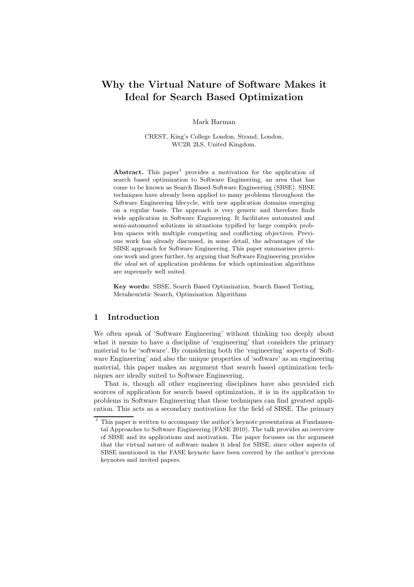# Why the Virtual Nature of Software Makes it Ideal for Search Based Optimization

Mark Harman

CREST, King's College London, Strand, London, WC2R 2LS, United Kingdom.

Abstract. This paper<sup>1</sup> provides a motivation for the application of search based optimization to Software Engineering, an area that has come to be known as Search Based Software Engineering (SBSE). SBSE techniques have already been applied to many problems throughout the Software Engineering lifecycle, with new application domains emerging on a regular basis. The approach is very generic and therefore finds wide application in Software Engineering. It facilitates automated and semi-automated solutions in situations typified by large complex problem spaces with multiple competing and conflicting objectives. Previous work has already discussed, in some detail, the advantages of the SBSE approach for Software Engineering. This paper summarises previous work and goes further, by arguing that Software Engineering provides the ideal set of application problems for which optimization algorithms are supremely well suited.

Key words: SBSE, Search Based Optimization, Search Based Testing, Metaheuristic Search, Optimization Algorithms

### 1 Introduction

We often speak of 'Software Engineering' without thinking too deeply about what it means to have a discipline of 'engineering' that considers the primary material to be 'software'. By considering both the 'engineering' aspects of 'Software Engineering' and also the unique properties of 'software' as an engineering material, this paper makes an argument that search based optimization techniques are ideally suited to Software Engineering.

That is, though all other engineering disciplines have also provided rich sources of application for search based optimization, it is in its application to problems in Software Engineering that these techniques can find greatest application. This acts as a secondary motivation for the field of SBSE. The primary

 $^{\rm 1}$  This paper is written to accompany the author's keynote presentation at Fundamental Approaches to Software Engineering (FASE 2010). The talk provides an overview of SBSE and its applications and motivation. The paper focusses on the argument that the virtual nature of software makes it ideal for SBSE, since other aspects of SBSE mentioned in the FASE keynote have been covered by the author's previous keynotes and invited papers.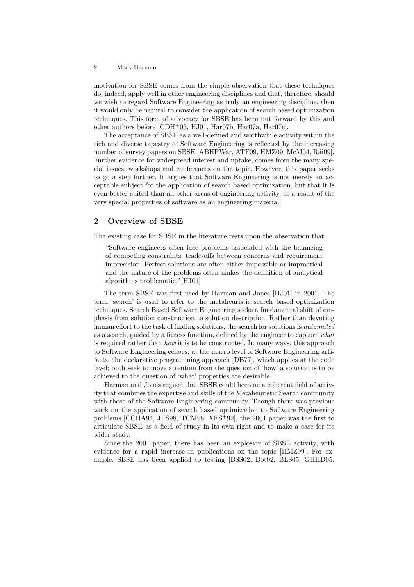motivation for SBSE comes from the simple observation that these techniques do, indeed, apply well in other engineering disciplines and that, therefore, should we wish to regard Software Engineering as truly an engineering discipline, then it would only be natural to consider the application of search based optimization techniques. This form of advocacy for SBSE has been put forward by this and other authors before [CDH+03, HJ01, Har07b, Har07a, Har07c].

The acceptance of SBSE as a well-defined and worthwhile activity within the rich and diverse tapestry of Software Engineering is reflected by the increasing number of survey papers on SBSE [ABHPWar, ATF09, HMZ09, McM04, Räi09]. Further evidence for widespread interest and uptake, comes from the many special issues, workshops and conferences on the topic. However, this paper seeks to go a step further. It argues that Software Engineering is not merely an acceptable subject for the application of search based optimization, but that it is even better suited than all other areas of engineering activity, as a result of the very special properties of software as an engineering material.

## 2 Overview of SBSE

The existing case for SBSE in the literature rests upon the observation that

"Software engineers often face problems associated with the balancing of competing constraints, trade-offs between concerns and requirement imprecision. Perfect solutions are often either impossible or impractical and the nature of the problems often makes the definition of analytical algorithms problematic."[HJ01]

The term SBSE was first used by Harman and Jones [HJ01] in 2001. The term 'search' is used to refer to the metaheuristic search–based optimization techniques. Search Based Software Engineering seeks a fundamental shift of emphasis from solution construction to solution description. Rather than devoting human effort to the task of finding solutions, the search for solutions is *automated* as a search, guided by a fitness function, defined by the engineer to capture what is required rather than how it is to be constructed. In many ways, this approach to Software Engineering echoes, at the macro level of Software Engineering artifacts, the declarative programming approach [DB77], which applies at the code level; both seek to move attention from the question of 'how' a solution is to be achieved to the question of 'what' properties are desirable.

Harman and Jones argued that SBSE could become a coherent field of activity that combines the expertise and skills of the Metaheuristic Search community with those of the Software Engineering community. Though there was previous work on the application of search based optimization to Software Engineering problems [CCHA94, JES98, TCM98,  $XES^{+}92$ ], the 2001 paper was the first to articulate SBSE as a field of study in its own right and to make a case for its wider study.

Since the 2001 paper, there has been an explosion of SBSE activity, with evidence for a rapid increase in publications on the topic [HMZ09]. For example, SBSE has been applied to testing [BSS02, Bot02, BLS05, GHHD05,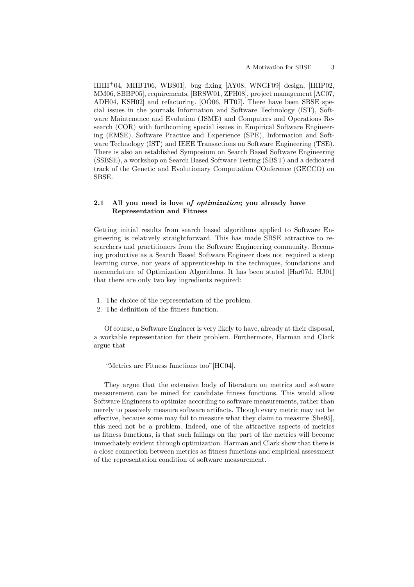HHH+04, MHBT06, WBS01], bug fixing [AY08, WNGF09] design, [HHP02, MM06, SBBP05], requirements, [BRSW01, ZFH08], project management [AC07, ADH04, KSH02 and refactoring.  $[O\dot{O}06, HT07]$ . There have been SBSE special issues in the journals Information and Software Technology (IST), Software Maintenance and Evolution (JSME) and Computers and Operations Research (COR) with forthcoming special issues in Empirical Software Engineering (EMSE), Software Practice and Experience (SPE), Information and Software Technology (IST) and IEEE Transactions on Software Engineering (TSE). There is also an established Symposium on Search Based Software Engineering (SSBSE), a workshop on Search Based Software Testing (SBST) and a dedicated track of the Genetic and Evolutionary Computation COnference (GECCO) on SBSE.

#### 2.1 All you need is love of optimization; you already have Representation and Fitness

Getting initial results from search based algorithms applied to Software Engineering is relatively straightforward. This has made SBSE attractive to researchers and practitioners from the Software Engineering community. Becoming productive as a Search Based Software Engineer does not required a steep learning curve, nor years of apprenticeship in the techniques, foundations and nomenclature of Optimization Algorithms. It has been stated [Har07d, HJ01] that there are only two key ingredients required:

- 1. The choice of the representation of the problem.
- 2. The definition of the fitness function.

Of course, a Software Engineer is very likely to have, already at their disposal, a workable representation for their problem. Furthermore, Harman and Clark argue that

"Metrics are Fitness functions too"[HC04].

They argue that the extensive body of literature on metrics and software measurement can be mined for candidate fitness functions. This would allow Software Engineers to optimize according to software measurements, rather than merely to passively measure software artifacts. Though every metric may not be effective, because some may fail to measure what they claim to measure [She95], this need not be a problem. Indeed, one of the attractive aspects of metrics as fitness functions, is that such failings on the part of the metrics will become immediately evident through optimization. Harman and Clark show that there is a close connection between metrics as fitness functions and empirical assessment of the representation condition of software measurement.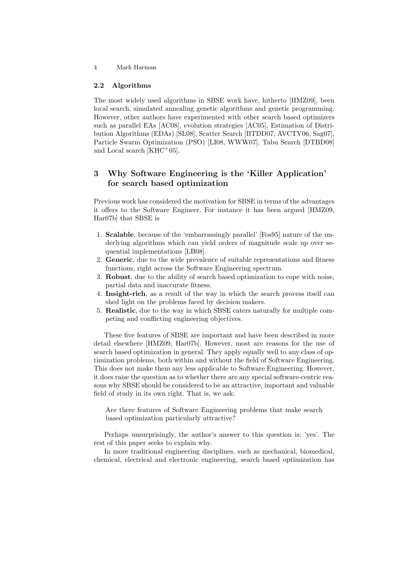#### 2.2 Algorithms

The most widely used algorithms in SBSE work have, hitherto [HMZ09], been local search, simulated annealing genetic algorithms and genetic programming. However, other authors have experimented with other search based optimizers such as parallel EAs [AC08], evolution strategies [AC05], Estimation of Distribution Algorithms (EDAs) [SL08], Scatter Search [BTDD07, AVCTV06, Sag07], Particle Swarm Optimization (PSO) [LI08, WWW07], Tabu Search [DTBD08] and Local search [KHC+05].

# 3 Why Software Engineering is the 'Killer Application' for search based optimization

Previous work has considered the motivation for SBSE in terms of the advantages it offers to the Software Engineer. For instance it has been argued [HMZ09, Har07b] that SBSE is

- 1. Scalable, because of the 'embarrassingly parallel' [Fos95] nature of the underlying algorithms which can yield orders of magnitude scale up over sequential implementations [LB08].
- 2. Generic, due to the wide prevalence of suitable representations and fitness functions, right across the Software Engineering spectrum.
- 3. Robust, due to the ability of search based optimization to cope with noise, partial data and inaccurate fitness.
- 4. Insight-rich, as a result of the way in which the search process itself can shed light on the problems faced by decision makers.
- 5. Realistic, due to the way in which SBSE caters naturally for multiple competing and conflicting engineering objectives.

These five features of SBSE are important and have been described in more detail elsewhere [HMZ09, Har07b]. However, most are reasons for the use of search based optimization in general. They apply equally well to any class of optimization problems, both within and without the field of Software Engineering. This does not make them any less applicable to Software Engineering. However, it does raise the question as to whether there are any special software-centric reasons why SBSE should be considered to be an attractive, important and valuable field of study in its own right. That is, we ask:

Are there features of Software Engineering problems that make search based optimization particularly attractive?

Perhaps unsurprisingly, the author's answer to this question is: 'yes'. The rest of this paper seeks to explain why.

In more traditional engineering disciplines, such as mechanical, biomedical, chemical, electrical and electronic engineering, search based optimization has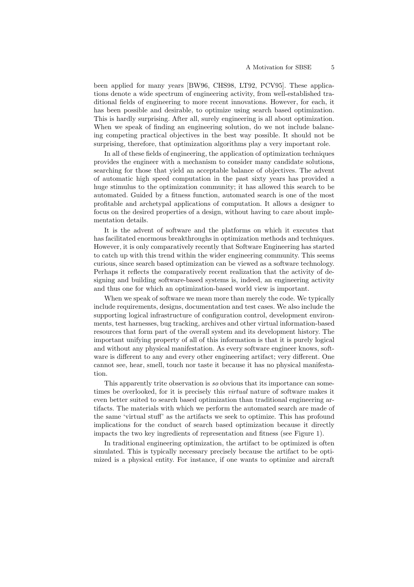been applied for many years [BW96, CHS98, LT92, PCV95]. These applications denote a wide spectrum of engineering activity, from well-established traditional fields of engineering to more recent innovations. However, for each, it has been possible and desirable, to optimize using search based optimization. This is hardly surprising. After all, surely engineering is all about optimization. When we speak of finding an engineering solution, do we not include balancing competing practical objectives in the best way possible. It should not be surprising, therefore, that optimization algorithms play a very important role.

In all of these fields of engineering, the application of optimization techniques provides the engineer with a mechanism to consider many candidate solutions, searching for those that yield an acceptable balance of objectives. The advent of automatic high speed computation in the past sixty years has provided a huge stimulus to the optimization community; it has allowed this search to be automated. Guided by a fitness function, automated search is one of the most profitable and archetypal applications of computation. It allows a designer to focus on the desired properties of a design, without having to care about implementation details.

It is the advent of software and the platforms on which it executes that has facilitated enormous breakthroughs in optimization methods and techniques. However, it is only comparatively recently that Software Engineering has started to catch up with this trend within the wider engineering community. This seems curious, since search based optimization can be viewed as a software technology. Perhaps it reflects the comparatively recent realization that the activity of designing and building software-based systems is, indeed, an engineering activity and thus one for which an optimization-based world view is important.

When we speak of software we mean more than merely the code. We typically include requirements, designs, documentation and test cases. We also include the supporting logical infrastructure of configuration control, development environments, test harnesses, bug tracking, archives and other virtual information-based resources that form part of the overall system and its development history. The important unifying property of all of this information is that it is purely logical and without any physical manifestation. As every software engineer knows, software is different to any and every other engineering artifact; very different. One cannot see, hear, smell, touch nor taste it because it has no physical manifestation.

This apparently trite observation is so obvious that its importance can sometimes be overlooked, for it is precisely this virtual nature of software makes it even better suited to search based optimization than traditional engineering artifacts. The materials with which we perform the automated search are made of the same 'virtual stuff' as the artifacts we seek to optimize. This has profound implications for the conduct of search based optimization because it directly impacts the two key ingredients of representation and fitness (see Figure 1).

In traditional engineering optimization, the artifact to be optimized is often simulated. This is typically necessary precisely because the artifact to be optimized is a physical entity. For instance, if one wants to optimize and aircraft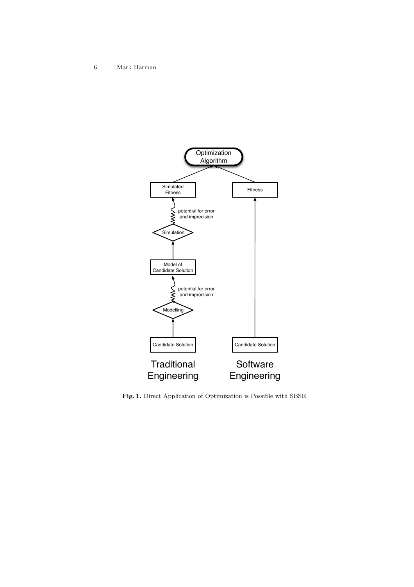

Fig. 1. Direct Application of Optimization is Possible with SBSE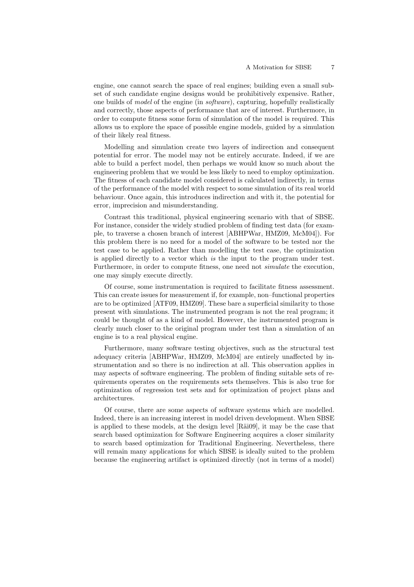engine, one cannot search the space of real engines; building even a small subset of such candidate engine designs would be prohibitively expensive. Rather, one builds of model of the engine (in software), capturing, hopefully realistically and correctly, those aspects of performance that are of interest. Furthermore, in order to compute fitness some form of simulation of the model is required. This allows us to explore the space of possible engine models, guided by a simulation of their likely real fitness.

Modelling and simulation create two layers of indirection and consequent potential for error. The model may not be entirely accurate. Indeed, if we are able to build a perfect model, then perhaps we would know so much about the engineering problem that we would be less likely to need to employ optimization. The fitness of each candidate model considered is calculated indirectly, in terms of the performance of the model with respect to some simulation of its real world behaviour. Once again, this introduces indirection and with it, the potential for error, imprecision and misunderstanding.

Contrast this traditional, physical engineering scenario with that of SBSE. For instance, consider the widely studied problem of finding test data (for example, to traverse a chosen branch of interest [ABHPWar, HMZ09, McM04]). For this problem there is no need for a model of the software to be tested nor the test case to be applied. Rather than modelling the test case, the optimization is applied directly to a vector which is the input to the program under test. Furthermore, in order to compute fitness, one need not simulate the execution, one may simply execute directly.

Of course, some instrumentation is required to facilitate fitness assessment. This can create issues for measurement if, for example, non–functional properties are to be optimized [ATF09, HMZ09]. These bare a superficial similarity to those present with simulations. The instrumented program is not the real program; it could be thought of as a kind of model. However, the instrumented program is clearly much closer to the original program under test than a simulation of an engine is to a real physical engine.

Furthermore, many software testing objectives, such as the structural test adequacy criteria [ABHPWar, HMZ09, McM04] are entirely unaffected by instrumentation and so there is no indirection at all. This observation applies in may aspects of software engineering. The problem of finding suitable sets of requirements operates on the requirements sets themselves. This is also true for optimization of regression test sets and for optimization of project plans and architectures.

Of course, there are some aspects of software systems which are modelled. Indeed, there is an increasing interest in model driven development. When SBSE is applied to these models, at the design level [Rai09], it may be the case that search based optimization for Software Engineering acquires a closer similarity to search based optimization for Traditional Engineering. Nevertheless, there will remain many applications for which SBSE is ideally suited to the problem because the engineering artifact is optimized directly (not in terms of a model)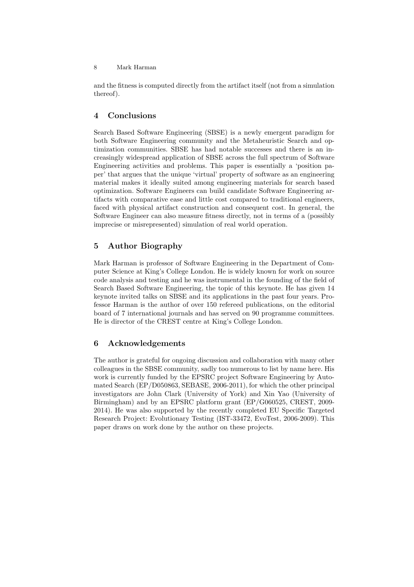and the fitness is computed directly from the artifact itself (not from a simulation thereof).

## 4 Conclusions

Search Based Software Engineering (SBSE) is a newly emergent paradigm for both Software Engineering community and the Metaheuristic Search and optimization communities. SBSE has had notable successes and there is an increasingly widespread application of SBSE across the full spectrum of Software Engineering activities and problems. This paper is essentially a 'position paper' that argues that the unique 'virtual' property of software as an engineering material makes it ideally suited among engineering materials for search based optimization. Software Engineers can build candidate Software Engineering artifacts with comparative ease and little cost compared to traditional engineers, faced with physical artifact construction and consequent cost. In general, the Software Engineer can also measure fitness directly, not in terms of a (possibly imprecise or misrepresented) simulation of real world operation.

# 5 Author Biography

Mark Harman is professor of Software Engineering in the Department of Computer Science at King's College London. He is widely known for work on source code analysis and testing and he was instrumental in the founding of the field of Search Based Software Engineering, the topic of this keynote. He has given 14 keynote invited talks on SBSE and its applications in the past four years. Professor Harman is the author of over 150 refereed publications, on the editorial board of 7 international journals and has served on 90 programme committees. He is director of the CREST centre at King's College London.

## 6 Acknowledgements

The author is grateful for ongoing discussion and collaboration with many other colleagues in the SBSE community, sadly too numerous to list by name here. His work is currently funded by the EPSRC project Software Engineering by Automated Search (EP/D050863, SEBASE, 2006-2011), for which the other principal investigators are John Clark (University of York) and Xin Yao (University of Birmingham) and by an EPSRC platform grant (EP/G060525, CREST, 2009- 2014). He was also supported by the recently completed EU Specific Targeted Research Project: Evolutionary Testing (IST-33472, EvoTest, 2006-2009). This paper draws on work done by the author on these projects.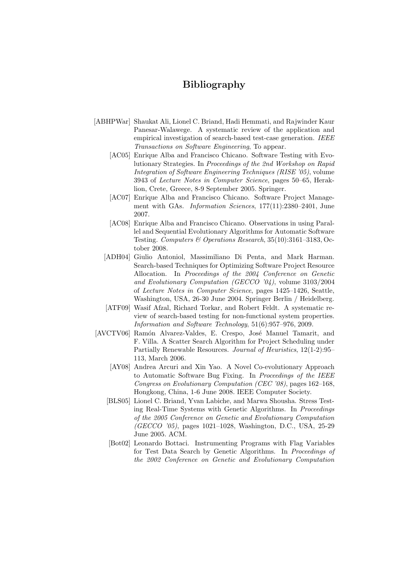# Bibliography

- [ABHPWar] Shaukat Ali, Lionel C. Briand, Hadi Hemmati, and Rajwinder Kaur Panesar-Walawege. A systematic review of the application and empirical investigation of search-based test-case generation. IEEE Transactions on Software Engineering, To appear.
	- [AC05] Enrique Alba and Francisco Chicano. Software Testing with Evolutionary Strategies. In Proceedings of the 2nd Workshop on Rapid Integration of Software Engineering Techniques (RISE '05), volume 3943 of Lecture Notes in Computer Science, pages 50–65, Heraklion, Crete, Greece, 8-9 September 2005. Springer.
	- [AC07] Enrique Alba and Francisco Chicano. Software Project Management with GAs. Information Sciences, 177(11):2380–2401, June 2007.
	- [AC08] Enrique Alba and Francisco Chicano. Observations in using Parallel and Sequential Evolutionary Algorithms for Automatic Software Testing. Computers & Operations Research, 35(10):3161–3183, October 2008.
	- [ADH04] Giulio Antoniol, Massimiliano Di Penta, and Mark Harman. Search-based Techniques for Optimizing Software Project Resource Allocation. In Proceedings of the 2004 Conference on Genetic and Evolutionary Computation (GECCO '04), volume 3103/2004 of Lecture Notes in Computer Science, pages 1425–1426, Seattle, Washington, USA, 26-30 June 2004. Springer Berlin / Heidelberg.
	- [ATF09] Wasif Afzal, Richard Torkar, and Robert Feldt. A systematic review of search-based testing for non-functional system properties. Information and Software Technology, 51(6):957–976, 2009.
- [AVCTV06] Ramón Alvarez-Valdes, E. Crespo, José Manuel Tamarit, and F. Villa. A Scatter Search Algorithm for Project Scheduling under Partially Renewable Resources. Journal of Heuristics, 12(1-2):95– 113, March 2006.
	- [AY08] Andrea Arcuri and Xin Yao. A Novel Co-evolutionary Approach to Automatic Software Bug Fixing. In Proceedings of the IEEE Congress on Evolutionary Computation (CEC '08), pages 162–168, Hongkong, China, 1-6 June 2008. IEEE Computer Society.
	- [BLS05] Lionel C. Briand, Yvan Labiche, and Marwa Shousha. Stress Testing Real-Time Systems with Genetic Algorithms. In Proceedings of the 2005 Conference on Genetic and Evolutionary Computation (GECCO '05), pages 1021–1028, Washington, D.C., USA, 25-29 June 2005. ACM.
	- [Bot02] Leonardo Bottaci. Instrumenting Programs with Flag Variables for Test Data Search by Genetic Algorithms. In Proceedings of the 2002 Conference on Genetic and Evolutionary Computation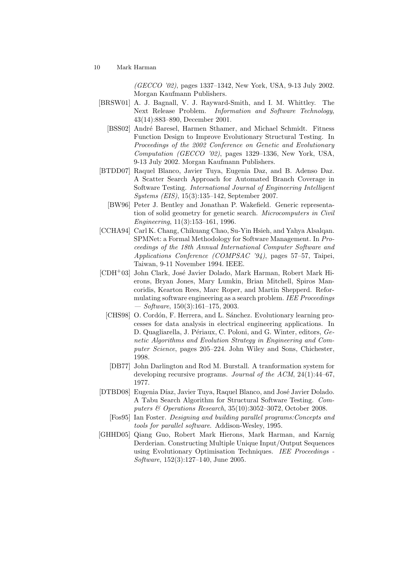(GECCO '02), pages 1337–1342, New York, USA, 9-13 July 2002. Morgan Kaufmann Publishers.

- [BRSW01] A. J. Bagnall, V. J. Rayward-Smith, and I. M. Whittley. The Next Release Problem. *Information and Software Technology*, 43(14):883–890, December 2001.
	- [BSS02] André Baresel, Harmen Sthamer, and Michael Schmidt. Fitness Function Design to Improve Evolutionary Structural Testing. In Proceedings of the 2002 Conference on Genetic and Evolutionary Computation (GECCO '02), pages 1329–1336, New York, USA, 9-13 July 2002. Morgan Kaufmann Publishers.
- [BTDD07] Raquel Blanco, Javier Tuya, Eugenia Daz, and B. Adenso Daz. A Scatter Search Approach for Automated Branch Coverage in Software Testing. International Journal of Engineering Intelligent Systems (EIS), 15(3):135–142, September 2007.
	- [BW96] Peter J. Bentley and Jonathan P. Wakefield. Generic representation of solid geometry for genetic search. Microcomputers in Civil Engineering, 11(3):153–161, 1996.
- [CCHA94] Carl K. Chang, Chikuang Chao, Su-Yin Hsieh, and Yahya Alsalqan. SPMNet: a Formal Methodology for Software Management. In Proceedings of the 18th Annual International Computer Software and Applications Conference (COMPSAC '94), pages 57–57, Taipei, Taiwan, 9-11 November 1994. IEEE.
- [CDH<sup>+</sup>03] John Clark, Jos´e Javier Dolado, Mark Harman, Robert Mark Hierons, Bryan Jones, Mary Lumkin, Brian Mitchell, Spiros Mancoridis, Kearton Rees, Marc Roper, and Martin Shepperd. Reformulating software engineering as a search problem. IEE Proceedings  $-$  Software, 150(3):161–175, 2003.
	- [CHS98] O. Cordón, F. Herrera, and L. Sánchez. Evolutionary learning processes for data analysis in electrical engineering applications. In D. Quagliarella, J. Périaux, C. Poloni, and G. Winter, editors, Genetic Algorithms and Evolution Strategy in Engineering and Computer Science, pages 205–224. John Wiley and Sons, Chichester, 1998.
	- [DB77] John Darlington and Rod M. Burstall. A tranformation system for developing recursive programs. Journal of the ACM, 24(1):44–67, 1977.
- [DTBD08] Eugenia Díaz, Javier Tuya, Raquel Blanco, and José Javier Dolado. A Tabu Search Algorithm for Structural Software Testing. Computers & Operations Research, 35(10):3052–3072, October 2008.
	- [Fos95] Ian Foster. Designing and building parallel programs:Concepts and tools for parallel software. Addison-Wesley, 1995.
- [GHHD05] Qiang Guo, Robert Mark Hierons, Mark Harman, and Karnig Derderian. Constructing Multiple Unique Input/Output Sequences using Evolutionary Optimisation Techniques. IEE Proceedings - Software, 152(3):127–140, June 2005.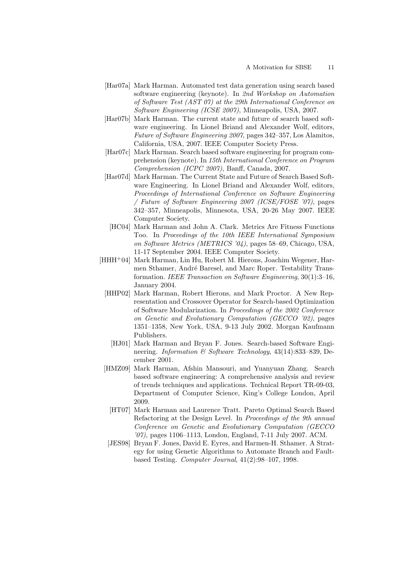- [Har07a] Mark Harman. Automated test data generation using search based software engineering (keynote). In 2nd Workshop on Automation of Software Test (AST 07) at the 29th International Conference on Software Engineering (ICSE 2007), Minneapolis, USA, 2007.
- [Har07b] Mark Harman. The current state and future of search based software engineering. In Lionel Briand and Alexander Wolf, editors, Future of Software Engineering 2007, pages 342–357, Los Alamitos, California, USA, 2007. IEEE Computer Society Press.
- [Har07c] Mark Harman. Search based software engineering for program comprehension (keynote). In 15th International Conference on Program Comprehension (ICPC 2007), Banff, Canada, 2007.
- [Har07d] Mark Harman. The Current State and Future of Search Based Software Engineering. In Lionel Briand and Alexander Wolf, editors, Proceedings of International Conference on Software Engineering / Future of Software Engineering 2007 (ICSE/FOSE '07), pages 342–357, Minneapolis, Minnesota, USA, 20-26 May 2007. IEEE Computer Society.
	- [HC04] Mark Harman and John A. Clark. Metrics Are Fitness Functions Too. In Proceedings of the 10th IEEE International Symposium on Software Metrics (METRICS '04), pages 58–69, Chicago, USA, 11-17 September 2004. IEEE Computer Society.
- [HHH<sup>+</sup>04] Mark Harman, Lin Hu, Robert M. Hierons, Joachim Wegener, Harmen Sthamer, André Baresel, and Marc Roper. Testability Transformation. IEEE Transaction on Software Engineering, 30(1):3–16, January 2004.
	- [HHP02] Mark Harman, Robert Hierons, and Mark Proctor. A New Representation and Crossover Operator for Search-based Optimization of Software Modularization. In Proceedings of the 2002 Conference on Genetic and Evolutionary Computation (GECCO '02), pages 1351–1358, New York, USA, 9-13 July 2002. Morgan Kaufmann Publishers.
	- [HJ01] Mark Harman and Bryan F. Jones. Search-based Software Engineering. Information & Software Technology, 43(14):833-839, December 2001.
	- [HMZ09] Mark Harman, Afshin Mansouri, and Yuanyuan Zhang. Search based software engineering: A comprehensive analysis and review of trends techniques and applications. Technical Report TR-09-03, Department of Computer Science, King's College London, April 2009.
		- [HT07] Mark Harman and Laurence Tratt. Pareto Optimal Search Based Refactoring at the Design Level. In Proceedings of the 9th annual Conference on Genetic and Evolutionary Computation (GECCO '07), pages 1106–1113, London, England, 7-11 July 2007. ACM.
	- [JES98] Bryan F. Jones, David E. Eyres, and Harmen-H. Sthamer. A Strategy for using Genetic Algorithms to Automate Branch and Faultbased Testing. Computer Journal, 41(2):98–107, 1998.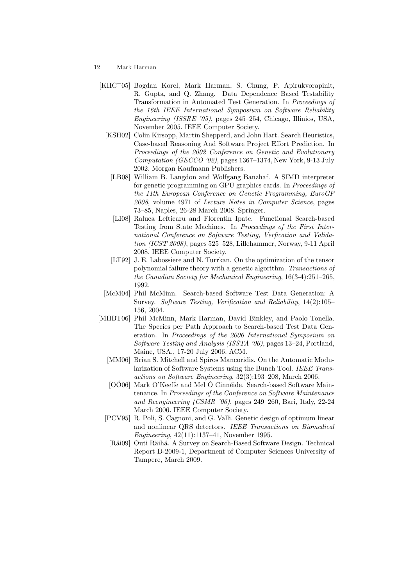- [KHC+05] Bogdan Korel, Mark Harman, S. Chung, P. Apirukvorapinit, R. Gupta, and Q. Zhang. Data Dependence Based Testability Transformation in Automated Test Generation. In Proceedings of the 16th IEEE International Symposium on Software Reliability Engineering (ISSRE '05), pages 245–254, Chicago, Illinios, USA, November 2005. IEEE Computer Society.
	- [KSH02] Colin Kirsopp, Martin Shepperd, and John Hart. Search Heuristics, Case-based Reasoning And Software Project Effort Prediction. In Proceedings of the 2002 Conference on Genetic and Evolutionary Computation (GECCO '02), pages 1367–1374, New York, 9-13 July 2002. Morgan Kaufmann Publishers.
		- [LB08] William B. Langdon and Wolfgang Banzhaf. A SIMD interpreter for genetic programming on GPU graphics cards. In Proceedings of the 11th European Conference on Genetic Programming, EuroGP 2008, volume 4971 of Lecture Notes in Computer Science, pages 73–85, Naples, 26-28 March 2008. Springer.
		- [LI08] Raluca Lefticaru and Florentin Ipate. Functional Search-based Testing from State Machines. In Proceedings of the First International Conference on Software Testing, Verfication and Validation (ICST 2008), pages 525–528, Lillehammer, Norway, 9-11 April 2008. IEEE Computer Society.
		- [LT92] J. E. Labossiere and N. Turrkan. On the optimization of the tensor polynomial failure theory with a genetic algorithm. Transactions of the Canadian Society for Mechanical Engineering, 16(3-4):251–265, 1992.
- [McM04] Phil McMinn. Search-based Software Test Data Generation: A Survey. Software Testing, Verification and Reliability, 14(2):105– 156, 2004.
- [MHBT06] Phil McMinn, Mark Harman, David Binkley, and Paolo Tonella. The Species per Path Approach to Search-based Test Data Generation. In Proceedings of the 2006 International Symposium on Software Testing and Analysis (ISSTA '06), pages 13–24, Portland, Maine, USA., 17-20 July 2006. ACM.
	- [MM06] Brian S. Mitchell and Spiros Mancoridis. On the Automatic Modularization of Software Systems using the Bunch Tool. IEEE Transactions on Software Engineering, 32(3):193–208, March 2006.
	- [ $O$  $O$  $006$ ] Mark O'Keeffe and Mel  $\acute{O}$  Cinnéide. Search-based Software Maintenance. In Proceedings of the Conference on Software Maintenance and Reengineering (CSMR '06), pages 249–260, Bari, Italy, 22-24 March 2006. IEEE Computer Society.
	- [PCV95] R. Poli, S. Cagnoni, and G. Valli. Genetic design of optimum linear and nonlinear QRS detectors. IEEE Transactions on Biomedical Engineering, 42(11):1137–41, November 1995.
	- [Räi09] Outi Räihä. A Survey on Search-Based Software Design. Technical Report D-2009-1, Department of Computer Sciences University of Tampere, March 2009.